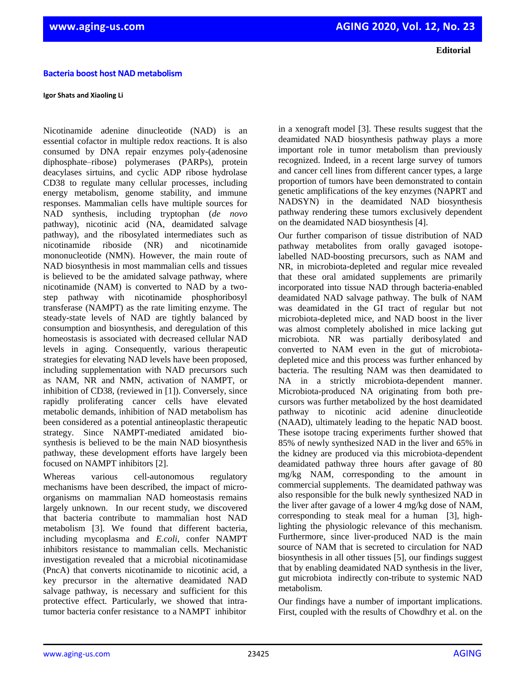## **Bacteria boost host NAD metabolism**

## **Igor Shats and Xiaoling Li**

Nicotinamide adenine dinucleotide (NAD) is an essential cofactor in multiple redox reactions. It is also consumed by DNA repair enzymes poly-(adenosine diphosphate–ribose) polymerases (PARPs), protein deacylases sirtuins, and cyclic ADP ribose hydrolase CD38 to regulate many cellular processes, including energy metabolism, genome stability, and immune responses. Mammalian cells have multiple sources for NAD synthesis, including tryptophan (*de novo* pathway), nicotinic acid (NA, deamidated salvage pathway), and the ribosylated intermediates such as nicotinamide riboside (NR) and nicotinamide mononucleotide (NMN). However, the main route of NAD biosynthesis in most mammalian cells and tissues is believed to be the amidated salvage pathway, where nicotinamide (NAM) is converted to NAD by a twostep pathway with nicotinamide phosphoribosyl transferase (NAMPT) as the rate limiting enzyme. The steady-state levels of NAD are tightly balanced by consumption and biosynthesis, and deregulation of this homeostasis is associated with decreased cellular NAD levels in aging. Consequently, various therapeutic strategies for elevating NAD levels have been proposed, including supplementation with NAD precursors such as NAM, NR and NMN, activation of NAMPT, or inhibition of CD38, (reviewed in [1]). Conversely, since rapidly proliferating cancer cells have elevated metabolic demands, inhibition of NAD metabolism has been considered as a potential antineoplastic therapeutic strategy. Since NAMPT-mediated amidated biosynthesis is believed to be the main NAD biosynthesis pathway, these development efforts have largely been focused on NAMPT inhibitors [2].

Whereas various cell-autonomous regulatory mechanisms have been described, the impact of microorganisms on mammalian NAD homeostasis remains largely unknown. In our recent study, we discovered that bacteria contribute to mammalian host NAD metabolism [3]. We found that different bacteria, including mycoplasma and *E.coli*, confer NAMPT inhibitors resistance to mammalian cells. Mechanistic investigation revealed that a microbial nicotinamidase (PncA) that converts nicotinamide to nicotinic acid, a key precursor in the alternative deamidated NAD salvage pathway, is necessary and sufficient for this protective effect. Particularly, we showed that intratumor bacteria confer resistance to a NAMPT inhibitor

in a xenograft model [3]. These results suggest that the deamidated NAD biosynthesis pathway plays a more important role in tumor metabolism than previously recognized. Indeed, in a recent large survey of tumors and cancer cell lines from different cancer types, a large proportion of tumors have been demonstrated to contain genetic amplifications of the key enzymes (NAPRT and NADSYN) in the deamidated NAD biosynthesis pathway rendering these tumors exclusively dependent on the deamidated NAD biosynthesis [4].

Our further comparison of tissue distribution of NAD pathway metabolites from orally gavaged isotopelabelled NAD-boosting precursors, such as NAM and NR, in microbiota-depleted and regular mice revealed that these oral amidated supplements are primarily incorporated into tissue NAD through bacteria-enabled deamidated NAD salvage pathway. The bulk of NAM was deamidated in the GI tract of regular but not microbiota-depleted mice, and NAD boost in the liver was almost completely abolished in mice lacking gut microbiota. NR was partially deribosylated and converted to NAM even in the gut of microbiotadepleted mice and this process was further enhanced by bacteria. The resulting NAM was then deamidated to NA in a strictly microbiota-dependent manner. Microbiota-produced NA originating from both precursors was further metabolized by the host deamidated pathway to nicotinic acid adenine dinucleotide (NAAD), ultimately leading to the hepatic NAD boost. These isotope tracing experiments further showed that 85% of newly synthesized NAD in the liver and 65% in the kidney are produced via this microbiota-dependent deamidated pathway three hours after gavage of 80 mg/kg NAM, corresponding to the amount in commercial supplements. The deamidated pathway was also responsible for the bulk newly synthesized NAD in the liver after gavage of a lower 4 mg/kg dose of NAM, corresponding to steak meal for a human [3], highlighting the physiologic relevance of this mechanism. Furthermore, since liver-produced NAD is the main source of NAM that is secreted to circulation for NAD biosynthesis in all other tissues [5], our findings suggest that by enabling deamidated NAD synthesis in the liver, gut microbiota indirectly con-tribute to systemic NAD metabolism.

Our findings have a number of important implications. First, coupled with the results of Chowdhry et al. on the